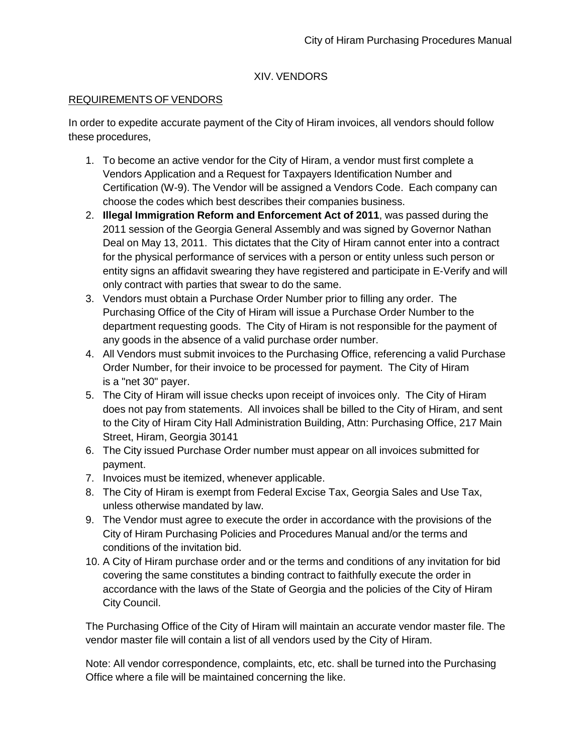## XIV. VENDORS

## REQUIREMENTS OF VENDORS

In order to expedite accurate payment of the City of Hiram invoices, all vendors should follow these procedures,

- 1. To become an active vendor for the City of Hiram, a vendor must first complete a Vendors Application and a Request for Taxpayers Identification Number and Certification (W-9). The Vendor will be assigned a Vendors Code. Each company can choose the codes which best describes their companies business.
- 2. **Illegal Immigration Reform and Enforcement Act of 2011**, was passed during the 2011 session of the Georgia General Assembly and was signed by Governor Nathan Deal on May 13, 2011. This dictates that the City of Hiram cannot enter into a contract for the physical performance of services with a person or entity unless such person or entity signs an affidavit swearing they have registered and participate in E-Verify and will only contract with parties that swear to do the same.
- 3. Vendors must obtain a Purchase Order Number prior to filling any order. The Purchasing Office of the City of Hiram will issue a Purchase Order Number to the department requesting goods. The City of Hiram is not responsible for the payment of any goods in the absence of a valid purchase order number.
- 4. All Vendors must submit invoices to the Purchasing Office, referencing a valid Purchase Order Number, for their invoice to be processed for payment. The City of Hiram is a "net 30" payer.
- 5. The City of Hiram will issue checks upon receipt of invoices only. The City of Hiram does not pay from statements. All invoices shall be billed to the City of Hiram, and sent to the City of Hiram City Hall Administration Building, Attn: Purchasing Office, 217 Main Street, Hiram, Georgia 30141
- 6. The City issued Purchase Order number must appear on all invoices submitted for payment.
- 7. Invoices must be itemized, whenever applicable.
- 8. The City of Hiram is exempt from Federal Excise Tax, Georgia Sales and Use Tax, unless otherwise mandated by law.
- 9. The Vendor must agree to execute the order in accordance with the provisions of the City of Hiram Purchasing Policies and Procedures Manual and/or the terms and conditions of the invitation bid.
- 10. A City of Hiram purchase order and or the terms and conditions of any invitation for bid covering the same constitutes a binding contract to faithfully execute the order in accordance with the laws of the State of Georgia and the policies of the City of Hiram City Council.

The Purchasing Office of the City of Hiram will maintain an accurate vendor master file. The vendor master file will contain a list of all vendors used by the City of Hiram.

Note: All vendor correspondence, complaints, etc, etc. shall be turned into the Purchasing Office where a file will be maintained concerning the like.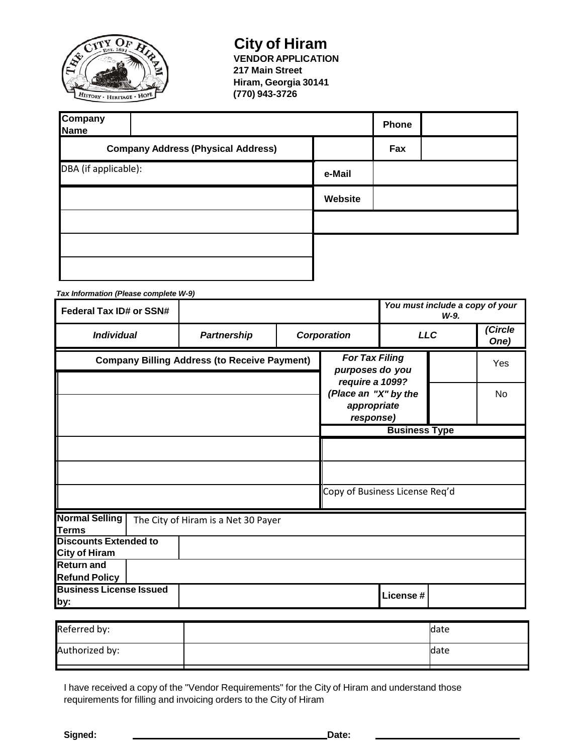

**City of Hiram VENDOR APPLICATION 217 Main Street Hiram, Georgia 30141 (770) 943-3726**

| Company<br>Name      |                                           |         | Phone |  |
|----------------------|-------------------------------------------|---------|-------|--|
|                      | <b>Company Address (Physical Address)</b> |         | Fax   |  |
| DBA (if applicable): |                                           | e-Mail  |       |  |
|                      |                                           | Website |       |  |
|                      |                                           |         |       |  |
|                      |                                           |         |       |  |

*Tax Information (Please complete W-9)*

| Federal Tax ID# or SSN#                              |                                                     |                                                                     |                      | You must include a copy of your<br>W-9. |                 |
|------------------------------------------------------|-----------------------------------------------------|---------------------------------------------------------------------|----------------------|-----------------------------------------|-----------------|
| <b>Individual</b>                                    | <b>Partnership</b>                                  | Corporation                                                         |                      | <b>LLC</b>                              | (Circle<br>One) |
|                                                      | <b>Company Billing Address (to Receive Payment)</b> | <b>For Tax Filing</b><br>purposes do you                            |                      |                                         | Yes             |
|                                                      |                                                     | require a 1099?<br>(Place an "X" by the<br>appropriate<br>response) |                      |                                         | <b>No</b>       |
|                                                      |                                                     |                                                                     | <b>Business Type</b> |                                         |                 |
|                                                      |                                                     |                                                                     |                      |                                         |                 |
|                                                      |                                                     | Copy of Business License Req'd                                      |                      |                                         |                 |
| <b>Normal Selling</b><br>Terms                       | The City of Hiram is a Net 30 Payer                 |                                                                     |                      |                                         |                 |
| <b>Discounts Extended to</b><br><b>City of Hiram</b> |                                                     |                                                                     |                      |                                         |                 |
| <b>Return and</b><br><b>Refund Policy</b>            |                                                     |                                                                     |                      |                                         |                 |
| <b>Business License Issued</b><br>by:                |                                                     |                                                                     | License#             |                                         |                 |
| Referred by:                                         |                                                     |                                                                     |                      | date                                    |                 |

| Referred by:   | <b>date</b> |
|----------------|-------------|
| Authorized by: | date        |
|                |             |

I have received a copy of the "Vendor Requirements" for the City of Hiram and understand those requirements for filling and invoicing orders to the City of Hiram

| Signed: | Date: |
|---------|-------|
|         |       |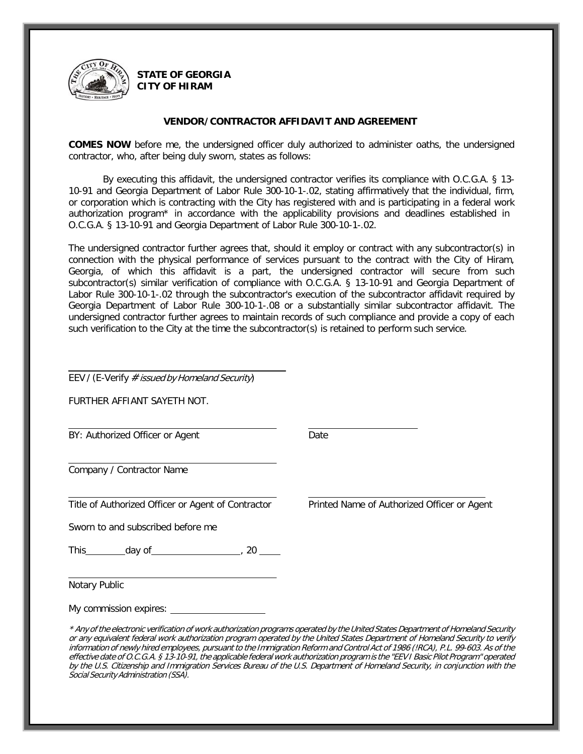

**STATE OF GEORGIA CITY OF HIRAM**

### **VENDOR/CONTRACTOR AFFIDAVIT AND AGREEMENT**

**COMES NOW** before me, the undersigned officer duly authorized to administer oaths, the undersigned contractor, who, after being duly sworn, states as follows:

By executing this affidavit, the undersigned contractor verifies its compliance with O.C.G.A. § 13- 10-91 and Georgia Department of Labor Rule 300-10-1-.02, stating affirmatively that the individual, firm, or corporation which is contracting with the City has registered with and is participating in a federal work authorization program\* in accordance with the applicability provisions and deadlines established in O.C.G.A. § 13-10-91 and Georgia Department of Labor Rule 300-10-1-.02.

The undersigned contractor further agrees that, should it employ or contract with any subcontractor(s) in connection with the physical performance of services pursuant to the contract with the City of Hiram, Georgia, of which this affidavit is a part, the undersigned contractor will secure from such subcontractor(s) similar verification of compliance with O.C.G.A. § 13-10-91 and Georgia Department of Labor Rule 300-10-1-.02 through the subcontractor's execution of the subcontractor affidavit required by Georgia Department of Labor Rule 300-10-1-.08 or a substantially similar subcontractor affidavit. The undersigned contractor further agrees to maintain records of such compliance and provide a copy of each such verification to the City at the time the subcontractor(s) is retained to perform such service.

| EEV / (E-Verify $\#$ issued by Homeland Security)  |                                             |
|----------------------------------------------------|---------------------------------------------|
| FURTHER AFFIANT SAYETH NOT.                        |                                             |
| BY: Authorized Officer or Agent                    | Date                                        |
| Company / Contractor Name                          |                                             |
| Title of Authorized Officer or Agent of Contractor | Printed Name of Authorized Officer or Agent |
| Sworn to and subscribed before me                  |                                             |
|                                                    |                                             |
| Notary Public                                      |                                             |
| My commission expires:                             |                                             |

\* Any of the electronic verification of work authorization programs operated by the United States Department of Homeland Security or any equivalent federal work authorization program operated by the United States Department of Homeland Security to verify information of newly hired employees, pursuant to the Immigration Reform and Control Act of 1986 (!RCA), P.L. 99-603. As of the effective date of O.C.G.A. § 13-10-91, the applicable federal work authorization program is the "EEV I Basic Pilot Program" operated by the U.S. Citizenship and Immigration Services Bureau of the U.S. Department of Homeland Security, in conjunction with the Social Security Administration (SSA).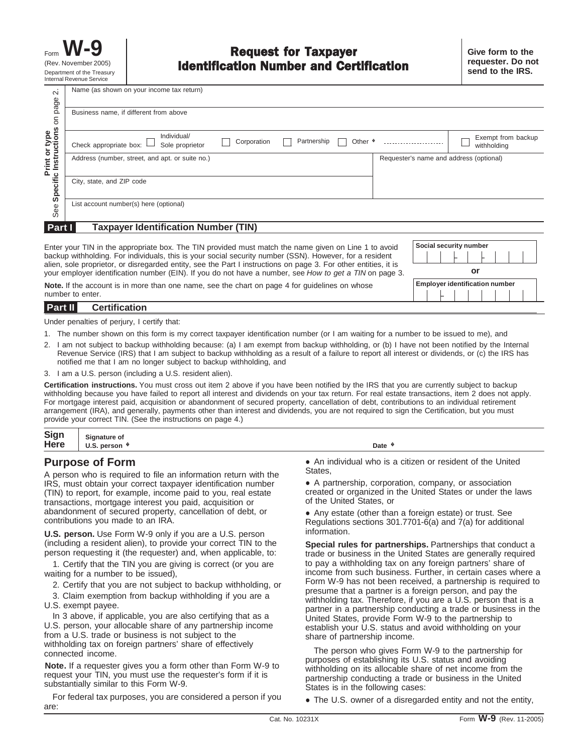| $\overline{\mathsf{N}}$<br>page        | Name (as shown on your income tax return)                                                                 |                                         |                                   |
|----------------------------------------|-----------------------------------------------------------------------------------------------------------|-----------------------------------------|-----------------------------------|
| S                                      | Business name, if different from above                                                                    |                                         |                                   |
| Print or type<br>Specific Instructions | Individual/<br>Other $\bullet$<br>Partnership<br>Corporation<br>Check appropriate box:<br>Sole proprietor |                                         | Exempt from backup<br>withholding |
|                                        | Address (number, street, and apt. or suite no.)                                                           | Requester's name and address (optional) |                                   |
|                                        | City, state, and ZIP code                                                                                 |                                         |                                   |
| See                                    | List account number(s) here (optional)                                                                    |                                         |                                   |
| Part I                                 | <b>Taxpayer Identification Number (TIN)</b>                                                               |                                         |                                   |

Enter your TIN in the appropriate box. The TIN provided must match the name given on Line 1 to avoid backup withholding. For individuals, this is your social security number (SSN). However, for a resident alien, sole proprietor, or disregarded entity, see the Part I instructions on page 3. For other entities, it is your employer identification number (EIN). If you do not have a number, see *How to get a TIN* on page 3. **or**

**Note.** If the account is in more than one name, see the chart on page 4 for guidelines on whose

**Social security number** – – **Employer identification number**  $\mathsf{H}$ 

### **Part II Certification**

number to enter.

Under penalties of perjury, I certify that:

1. The number shown on this form is my correct taxpayer identification number (or I am waiting for a number to be issued to me), and

- 2. I am not subject to backup withholding because: (a) I am exempt from backup withholding, or (b) I have not been notified by the Internal Revenue Service (IRS) that I am subject to backup withholding as a result of a failure to report all interest or dividends, or (c) the IRS has notified me that I am no longer subject to backup withholding, and
- 3. I am a U.S. person (including a U.S. resident alien).

**Certification instructions.** You must cross out item 2 above if you have been notified by the IRS that you are currently subject to backup withholding because you have failed to report all interest and dividends on your tax return. For real estate transactions, item 2 does not apply. For mortgage interest paid, acquisition or abandonment of secured property, cancellation of debt, contributions to an individual retirement arrangement (IRA), and generally, payments other than interest and dividends, you are not required to sign the Certification, but you must provide your correct TIN. (See the instructions on page 4.)

| Sign | Sianature of |      |
|------|--------------|------|
| Here | person<br>υ. | Date |

## **Purpose of Form**

A person who is required to file an information return with the IRS, must obtain your correct taxpayer identification number (TIN) to report, for example, income paid to you, real estate transactions, mortgage interest you paid, acquisition or abandonment of secured property, cancellation of debt, or contributions you made to an IRA.

**U.S. person.** Use Form W-9 only if you are a U.S. person (including a resident alien), to provide your correct TIN to the person requesting it (the requester) and, when applicable, to:

1. Certify that the TIN you are giving is correct (or you are waiting for a number to be issued),

2. Certify that you are not subject to backup withholding, or

3. Claim exemption from backup withholding if you are a U.S. exempt payee.

In 3 above, if applicable, you are also certifying that as a U.S. person, your allocable share of any partnership income from a U.S. trade or business is not subject to the withholding tax on foreign partners' share of effectively connected income.

**Note.** If a requester gives you a form other than Form W-9 to request your TIN, you must use the requester's form if it is substantially similar to this Form W-9.

For federal tax purposes, you are considered a person if you are:

• An individual who is a citizen or resident of the United States,

• A partnership, corporation, company, or association created or organized in the United States or under the laws of the United States, or

• Any estate (other than a foreign estate) or trust. See Regulations sections 301.7701-6(a) and  $7(a)$  for additional information.

**Special rules for partnerships.** Partnerships that conduct a trade or business in the United States are generally required to pay a withholding tax on any foreign partners' share of income from such business. Further, in certain cases where a Form W-9 has not been received, a partnership is required to presume that a partner is a foreign person, and pay the withholding tax. Therefore, if you are a U.S. person that is a partner in a partnership conducting a trade or business in the United States, provide Form W-9 to the partnership to establish your U.S. status and avoid withholding on your share of partnership income.

The person who gives Form W-9 to the partnership for purposes of establishing its U.S. status and avoiding withholding on its allocable share of net income from the partnership conducting a trade or business in the United States is in the following cases:

● The U.S. owner of a disregarded entity and not the entity,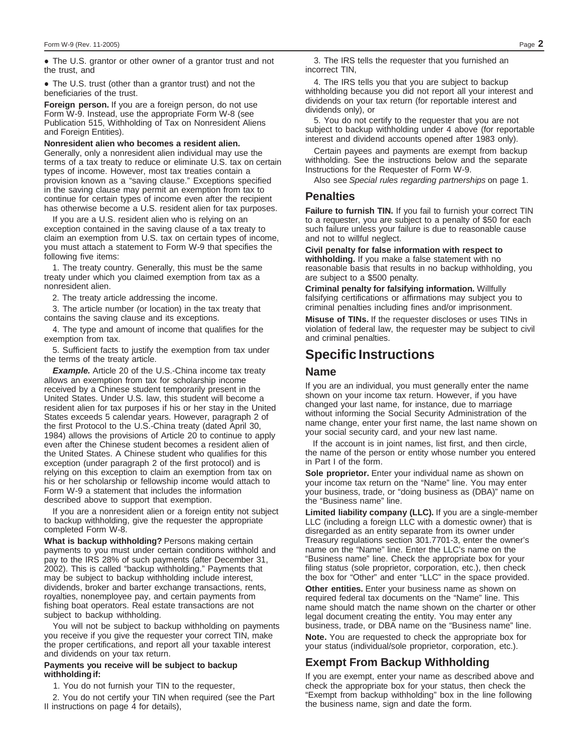• The U.S. grantor or other owner of a grantor trust and not the trust, and

● The U.S. trust (other than a grantor trust) and not the beneficiaries of the trust.

**Foreign person.** If you are a foreign person, do not use Form W-9. Instead, use the appropriate Form W-8 (see Publication 515, Withholding of Tax on Nonresident Aliens and Foreign Entities).

**Nonresident alien who becomes a resident alien.** Generally, only a nonresident alien individual may use the terms of a tax treaty to reduce or eliminate U.S. tax on certain types of income. However, most tax treaties contain a provision known as a "saving clause." Exceptions specified in the saving clause may permit an exemption from tax to continue for certain types of income even after the recipient has otherwise become a U.S. resident alien for tax purposes.

If you are a U.S. resident alien who is relying on an exception contained in the saving clause of a tax treaty to claim an exemption from U.S. tax on certain types of income, you must attach a statement to Form W-9 that specifies the following five items:

1. The treaty country. Generally, this must be the same treaty under which you claimed exemption from tax as a nonresident alien.

2. The treaty article addressing the income.

3. The article number (or location) in the tax treaty that contains the saving clause and its exceptions.

4. The type and amount of income that qualifies for the exemption from tax.

5. Sufficient facts to justify the exemption from tax under the terms of the treaty article.

**Example.** Article 20 of the U.S.-China income tax treaty allows an exemption from tax for scholarship income received by a Chinese student temporarily present in the United States. Under U.S. law, this student will become a resident alien for tax purposes if his or her stay in the United States exceeds 5 calendar years. However, paragraph 2 of the first Protocol to the U.S.-China treaty (dated April 30, 1984) allows the provisions of Article 20 to continue to apply even after the Chinese student becomes a resident alien of the United States. A Chinese student who qualifies for this exception (under paragraph 2 of the first protocol) and is relying on this exception to claim an exemption from tax on his or her scholarship or fellowship income would attach to Form W-9 a statement that includes the information described above to support that exemption.

If you are a nonresident alien or a foreign entity not subject to backup withholding, give the requester the appropriate completed Form W-8.

**What is backup withholding?** Persons making certain payments to you must under certain conditions withhold and pay to the IRS 28% of such payments (after December 31, 2002). This is called "backup withholding." Payments that may be subject to backup withholding include interest, dividends, broker and barter exchange transactions, rents, royalties, nonemployee pay, and certain payments from fishing boat operators. Real estate transactions are not subject to backup withholding.

You will not be subject to backup withholding on payments you receive if you give the requester your correct TIN, make the proper certifications, and report all your taxable interest and dividends on your tax return.

#### **Payments you receive will be subject to backup withholdingif:**

1. You do not furnish your TIN to the requester,

2. You do not certify your TIN when required (see the Part II instructions on page 4 for details),

3. The IRS tells the requester that you furnished an incorrect TIN,

4. The IRS tells you that you are subject to backup withholding because you did not report all your interest and dividends on your tax return (for reportable interest and dividends only), or

5. You do not certify to the requester that you are not subject to backup withholding under 4 above (for reportable interest and dividend accounts opened after 1983 only).

Certain payees and payments are exempt from backup withholding. See the instructions below and the separate Instructions for the Requester of Form W-9.

Also see *Special rules regarding partnerships* on page 1.

### **Penalties**

**Failure to furnish TIN.** If you fail to furnish your correct TIN to a requester, you are subject to a penalty of \$50 for each such failure unless your failure is due to reasonable cause and not to willful neglect.

**Civil penalty for false information with respect to**

**withholding.** If you make a false statement with no reasonable basis that results in no backup withholding, you are subject to a \$500 penalty.

**Criminal penalty for falsifying information.** Willfully falsifying certifications or affirmations may subject you to criminal penalties including fines and/or imprisonment.

**Misuse of TINs.** If the requester discloses or uses TINs in violation of federal law, the requester may be subject to civil and criminal penalties.

# **Specific Instructions**

#### **Name**

If you are an individual, you must generally enter the name shown on your income tax return. However, if you have changed your last name, for instance, due to marriage without informing the Social Security Administration of the name change, enter your first name, the last name shown on your social security card, and your new last name.

If the account is in joint names, list first, and then circle, the name of the person or entity whose number you entered in Part I of the form.

**Sole proprietor.** Enter your individual name as shown on your income tax return on the "Name" line. You may enter your business, trade, or "doing business as (DBA)" name on the "Business name" line.

**Limited liability company (LLC).** If you are a single-member LLC (including a foreign LLC with a domestic owner) that is disregarded as an entity separate from its owner under Treasury regulations section 301.7701-3, enter the owner's name on the "Name" line. Enter the LLC's name on the "Business name" line. Check the appropriate box for your filing status (sole proprietor, corporation, etc.), then check the box for "Other" and enter "LLC" in the space provided.

**Other entities.** Enter your business name as shown on required federal tax documents on the "Name" line. This name should match the name shown on the charter or other legal document creating the entity. You may enter any business, trade, or DBA name on the "Business name" line.

**Note.** You are requested to check the appropriate box for your status (individual/sole proprietor, corporation, etc.).

### **Exempt From Backup Withholding**

If you are exempt, enter your name as described above and check the appropriate box for your status, then check the "Exempt from backup withholding" box in the line following the business name, sign and date the form.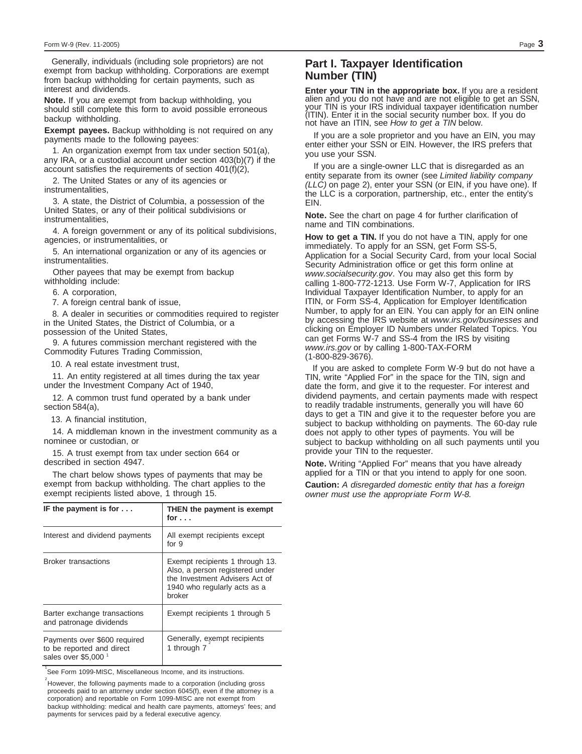Generally, individuals (including sole proprietors) are not exempt from backup withholding. Corporations are exempt from backup withholding for certain payments, such as interest and dividends.

**Note.** If you are exempt from backup withholding, you should still complete this form to avoid possible erroneous backup withholding.

**Exempt payees.** Backup withholding is not required on any payments made to the following payees:

1. An organization exempt from tax under section 501(a), any IRA, or a custodial account under section 403(b)(7) if the account satisfies the requirements of section 401(f)(2),

2. The United States or any of its agencies or **instrumentalities** 

3. A state, the District of Columbia, a possession of the United States, or any of their political subdivisions or instrumentalities,

4. A foreign government or any of its political subdivisions, agencies, or instrumentalities, or

5. An international organization or any of its agencies or instrumentalities.

Other payees that may be exempt from backup withholding include:

6. A corporation,

7. A foreign central bank of issue,

8. A dealer in securities or commodities required to register in the United States, the District of Columbia, or a possession of the United States,

9. A futures commission merchant registered with the Commodity Futures Trading Commission,

10. A real estate investment trust,

11. An entity registered at all times during the tax year under the Investment Company Act of 1940,

12. A common trust fund operated by a bank under section 584(a),

13. A financial institution,

14. A middleman known in the investment community as a nominee or custodian, or

15. A trust exempt from tax under section 664 or described in section 4947.

The chart below shows types of payments that may be exempt from backup withholding. The chart applies to the exempt recipients listed above, 1 through 15.

| IF the payment is for                                                                        | THEN the payment is exempt<br>for $\ldots$                                                                                                     |
|----------------------------------------------------------------------------------------------|------------------------------------------------------------------------------------------------------------------------------------------------|
| Interest and dividend payments                                                               | All exempt recipients except<br>for $9$                                                                                                        |
| <b>Broker transactions</b>                                                                   | Exempt recipients 1 through 13.<br>Also, a person registered under<br>the Investment Advisers Act of<br>1940 who regularly acts as a<br>broker |
| Barter exchange transactions<br>and patronage dividends                                      | Exempt recipients 1 through 5                                                                                                                  |
| Payments over \$600 required<br>to be reported and direct<br>sales over \$5,000 <sup>1</sup> | Generally, exempt recipients<br>1 through 7                                                                                                    |

<sup>1</sup>See Form 1099-MISC, Miscellaneous Income, and its instructions.

 $2$ <br>However, the following payments made to a corporation (including gross proceeds paid to an attorney under section 6045(f), even if the attorney is a corporation) and reportable on Form 1099-MISC are not exempt from backup withholding: medical and health care payments, attorneys' fees; and payments for services paid by a federal executive agency.

## **Part I. Taxpayer Identification Number (TIN)**

**Enter your TIN in the appropriate box.** If you are a resident alien and you do not have and are not eligible to get an SSN, your TIN is your IRS individual taxpayer identification number<br>(ITIN). Enter it in the social security number box. If you do hot have an ITIN, see *How to get a TIN* below.

If you are a sole proprietor and you have an EIN, you may enter either your SSN or EIN. However, the IRS prefers that you use your SSN.

If you are a single-owner LLC that is disregarded as an entity separate from its owner (see *Limited liability company (LLC)* on page 2), enter your SSN (or EIN, if you have one). If the LLC is a corporation, partnership, etc., enter the entity's EIN.

**Note.** See the chart on page 4 for further clarification of name and TIN combinations.

**How to get a TIN.** If you do not have a TIN, apply for one immediately. To apply for an SSN, get Form SS-5, Application for a Social Security Card, from your local Social Security Administration office or get this form online at *[www.socialsecurity.gov](http://www.socialsecurity.gov/)*. You may also get this form by calling 1-800-772-1213. Use Form W-7, Application for IRS Individual Taxpayer Identification Number, to apply for an ITIN, or Form SS-4, Application for Employer Identification Number, to apply for an EIN. You can apply for an EIN online by accessing the IRS website at *[www.irs.gov/businesses](http://www.irs.gov/businesses)* and clicking on Employer ID Numbers under Related Topics. You can get Forms W-7 and SS-4 from the IRS by visiting *[www.irs.gov](http://www.irs.gov/)* or by calling 1-800-TAX-FORM (1-800-829-3676).

If you are asked to complete Form W-9 but do not have a TIN, write "Applied For" in the space for the TIN, sign and date the form, and give it to the requester. For interest and dividend payments, and certain payments made with respect to readily tradable instruments, generally you will have 60 days to get a TIN and give it to the requester before you are subject to backup withholding on payments. The 60-day rule does not apply to other types of payments. You will be subject to backup withholding on all such payments until you provide your TIN to the requester.

**Note.** Writing "Applied For" means that you have already applied for a TIN or that you intend to apply for one soon.

**Caution:** *A disregarded domestic entity that has a foreign owner must use the appropriate Form W-8.*